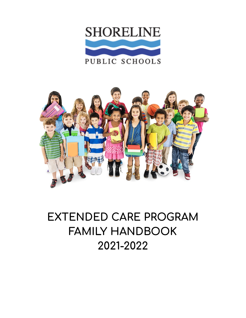



# **EXTENDED CARE PROGRAM FAMILY HANDBOOK 2021-2022**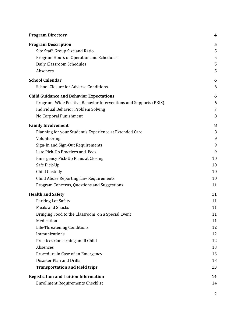| <b>Program Directory</b>                                         | 4  |
|------------------------------------------------------------------|----|
| <b>Program Description</b>                                       | 5  |
| Site Staff, Group Size and Ratio                                 | 5  |
| Program Hours of Operation and Schedules                         | 5  |
| Daily Classroom Schedules                                        | 5  |
| Absences                                                         | 5  |
| <b>School Calendar</b>                                           | 6  |
| <b>School Closure for Adverse Conditions</b>                     | 6  |
| <b>Child Guidance and Behavior Expectations</b>                  | 6  |
| Program-Wide Positive Behavior Interventions and Supports (PBIS) | 6  |
| <b>Individual Behavior Problem Solving</b>                       | 7  |
| No Corporal Punishment                                           | 8  |
| <b>Family Involvement</b>                                        | 8  |
| Planning for your Student's Experience at Extended Care          | 8  |
| Volunteering                                                     | 9  |
| Sign-In and Sign-Out Requirements                                | 9  |
| Late Pick-Up Practices and Fees                                  | 9  |
| <b>Emergency Pick-Up Plans at Closing</b>                        | 10 |
| Safe Pick-Up                                                     | 10 |
| Child Custody                                                    | 10 |
| Child Abuse Reporting Law Requirements                           | 10 |
| Program Concerns, Questions and Suggestions                      | 11 |
| <b>Health and Safety</b>                                         | 11 |
| Parking Lot Safety                                               | 11 |
| <b>Meals and Snacks</b>                                          | 11 |
| Bringing Food to the Classroom on a Special Event                | 11 |
| Medication                                                       | 11 |
| Life-Threatening Conditions                                      | 12 |
| Immunizations                                                    | 12 |
| Practices Concerning an Ill Child                                | 12 |
| Absences                                                         | 13 |
| Procedure in Case of an Emergency                                | 13 |
| Disaster Plan and Drills                                         | 13 |
| <b>Transportation and Field trips</b>                            | 13 |
| <b>Registration and Tuition Information</b>                      | 14 |
| <b>Enrollment Requirements Checklist</b>                         | 14 |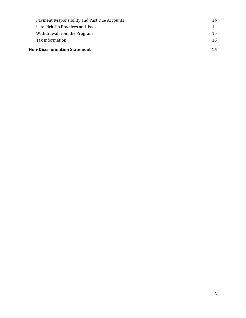| <b>Non-Discrimination Statement</b> |                                              |    |
|-------------------------------------|----------------------------------------------|----|
|                                     | Tax Information                              | 15 |
|                                     | Withdrawal from the Program                  | 15 |
|                                     | Late Pick-Up Practices and Fees              | 14 |
|                                     | Payment Responsibility and Past Due Accounts | 14 |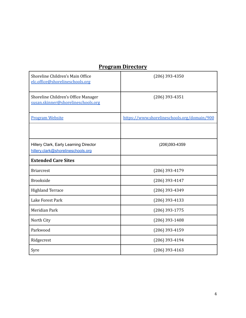## **Program Directory**

<span id="page-3-0"></span>

| Shoreline Children's Main Office<br>elc.office@shorelineschools.org          | $(206)$ 393-4350                            |
|------------------------------------------------------------------------------|---------------------------------------------|
| Shoreline Children's Office Manager<br>susan.skinner@shorelineschools.org    | $(206)$ 393-4351                            |
| <b>Program Website</b>                                                       | https://www.shorelineschools.org/domain/900 |
|                                                                              |                                             |
| Hillery Clark, Early Learning Director<br>hillery.clark@shorelineschools.org | (206)393-4359                               |
| <b>Extended Care Sites</b>                                                   |                                             |
| <b>Briarcrest</b>                                                            | $(206)$ 393-4179                            |
| <b>Brookside</b>                                                             | $(206)$ 393-4147                            |
| <b>Highland Terrace</b>                                                      | $(206)$ 393-4349                            |
| Lake Forest Park                                                             | $(206)$ 393-4133                            |
| Meridian Park                                                                | $(206)$ 393-1775                            |
| North City                                                                   | $(206)$ 393-1408                            |
| Parkwood                                                                     | $(206)$ 393-4159                            |
| Ridgecrest                                                                   | $(206)$ 393-4194                            |
| Syre                                                                         | $(206)$ 393-4163                            |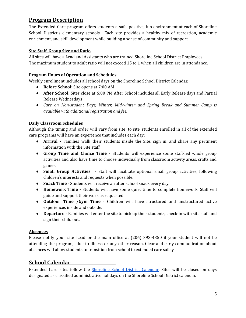## **Program Description**

The Extended Care program offers students a safe, positive, fun environment at each of Shoreline School District's elementary schools. Each site provides a healthy mix of recreation, academic enrichment, and skill development while building a sense of community and support.

#### **Site Staff, Group Size and Ratio**

All sites will have a Lead and Assistants who are trained Shoreline School District Employees. The maximum student to adult ratio will not exceed 15 to 1 when all children are in attendance.

#### <span id="page-4-0"></span>**Program Hours of Operation and Schedules**

Weekly enrollment includes all school days on the Shoreline School District Calendar.

- **Before School**: Site opens at 7:00 AM
- **After School**: Sites close at 6:00 PM After School includes all Early Release days and Partial Release Wednesdays
- *● Care on Non-student Days, Winter, Mid-winter and Spring Break and Summer Camp is available with additional registration and fee.*

#### <span id="page-4-1"></span>**Daily Classroom Schedules**

Although the timing and order will vary from site to site, students enrolled in all of the extended care programs will have an experience that includes each day:

- **Arrival** Families walk their students inside the Site, sign in, and share any pertinent information with the Site staff.
- **Group Time and Choice Time** Students will experience some staff-led whole group activities and also have time to choose individually from classroom activity areas, crafts and games.
- **Small Group Activities** Staff will facilitate optional small group activities, following children's interests and requests when possible.
- **Snack Time** Students will receive an after school snack every day.
- **● Homework Time -** Students will have some quiet time to complete homework. Staff will guide and support their work as requested.
- **Outdoor Time /Gym Time** Children will have structured and unstructured active experiences inside and outside.
- **Departure** Families will enter the site to pick up their students, check-in with site staff and sign their child out.

#### <span id="page-4-2"></span>**Absences**

Please notify your site Lead or the main office at (206) 393-4350 if your student will not be attending the program, due to illness or any other reason. Clear and early communication about absences will allow students to transition from school to extended care safely.

## <span id="page-4-3"></span>**School Calendar**

Extended Care sites follow the [Shoreline](https://www.shorelineschools.org/calendar#calendar1/20190823/month) School District Calendar. Sites will be closed on days designated as classified administrative holidays on the Shoreline School District calendar.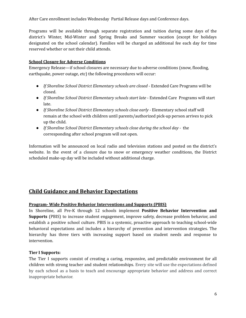After Care enrollment includes Wednesday Partial Release days and Conference days.

Programs will be available through separate registration and tuition during some days of the district's Winter, Mid-Winter and Spring Breaks and Summer vacation (except for holidays designated on the school calendar). Families will be charged an additional fee each day for time reserved whether or not their child attends.

#### <span id="page-5-0"></span>**School Closure for Adverse Conditions**

Emergency Release—if school closures are necessary due to adverse conditions (snow, flooding, earthquake, power outage, etc) the following procedures will occur:

- *If Shoreline School District Elementary schools are closed* Extended Care Programs will be closed.
- *If Shoreline School District Elementary schools start late* Extended Care Programs will start late.
- *If Shoreline School District Elementary schools close early -* Elementary school staff will remain at the school with children until parents/authorized pick-up person arrives to pick up the child.
- *If Shoreline School District Elementary schools close during the school day -* the corresponding after school program will not open.

Information will be announced on local radio and television stations and posted on the district's website. In the event of a closure due to snow or emergency weather conditions, the District scheduled make-up day will be included without additional charge.

## <span id="page-5-1"></span>**Child Guidance and Behavior Expectations**

#### <span id="page-5-2"></span>**Program- Wide Positive Behavior Interventions and Supports (PBIS)**

In Shoreline, all Pre-K through 12 schools implement **Positive Behavior Intervention and Supports** (PBIS) to increase student engagement, improve safety, decrease problem behavior, and establish a positive school culture. PBIS is a systemic, proactive approach to teaching school-wide behavioral expectations and includes a hierarchy of prevention and intervention strategies. The hierarchy has three tiers with increasing support based on student needs and response to intervention.

#### **Tier I Supports:**

The Tier I supports consist of creating a caring, responsive, and predictable environment for all children with strong teacher and student relationships. Every site will use the expectations defined by each school as a basis to teach and encourage appropriate behavior and address and correct inappropriate behavior.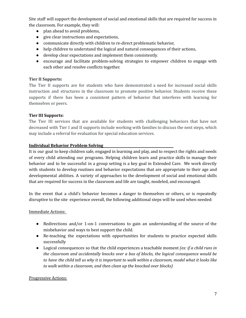Site staff will support the development of social and emotional skills that are required for success in the classroom. For example, they will:

- plan ahead to avoid problems,
- give clear instructions and expectations,
- communicate directly with children to re-direct problematic behavior,
- help children to understand the logical and natural consequences of their actions,
- develop clear expectations and implement them consistently.
- encourage and facilitate problem-solving strategies to empower children to engage with each other and resolve conflicts together.

#### **Tier II Supports:**

The Tier II supports are for students who have demonstrated a need for increased social skills instruction and structures in the classroom to promote positive behavior. Students receive these supports if there has been a consistent pattern of behavior that interferes with learning for themselves or peers.

#### **Tier III Supports:**

The Tier III services that are available for students with challenging behaviors that have not decreased with Tier I and II supports include working with families to discuss the next steps, which may include a referral for evaluation for special education services.

#### <span id="page-6-0"></span>**Individual Behavior Problem Solving**

It is our goal to keep children safe, engaged in learning and play, and to respect the rights and needs of every child attending our programs. Helping children learn and practice skills to manage their behavior and to be successful in a group setting is a key goal in Extended Care. We work directly with students to develop routines and behavior expectations that are appropriate to their age and developmental abilities. A variety of approaches to the development of social and emotional skills that are required for success in the classroom and life are taught, modeled, and encouraged.

In the event that a child's behavior becomes a danger to themselves or others, or is repeatedly disruptive to the site experience overall, the following additional steps will be used when needed:

#### Immediate Actions:

- Redirections and/or 1-on-1 conversations to gain an understanding of the source of the misbehavior and ways to best support the child.
- Re-teaching the expectations with opportunities for students to practice expected skills successfully
- Logical consequences so that the child experiences a teachable moment *(ex: if a child runs in the classroom and accidentally knocks over a box of blocks, the logical consequence would be* to have the child tell us why it is important to walk within a classroom, model what it looks like *to walk within a classroom, and then clean up the knocked over blocks)*

#### Progressive Actions: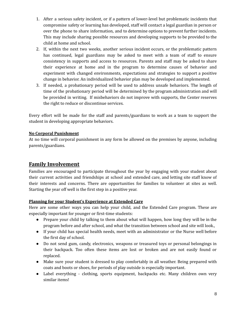- 1. After a serious safety incident, or if a pattern of lower-level but problematic incidents that compromise safety or learning has developed, staff will contact a legal guardian in person or over the phone to share information, and to determine options to prevent further incidents. This may include sharing possible resources and developing supports to be provided to the child at home and school.
- 2. If, within the next two weeks, another serious incident occurs, or the problematic pattern has continued, legal guardians may be asked to meet with a team of staff to ensure consistency in supports and access to resources. Parents and staff may be asked to share their experience at home and in the program to determine causes of behavior and experiment with changed environments, expectations and strategies to support a positive change in behavior. An individualized behavior plan may be developed and implemented.
- 3. If needed, a probationary period will be used to address unsafe behaviors. The length of time of the probationary period will be determined by the program administration and will be provided in writing. If misbehaviors do not improve with supports, the Center reserves the right to reduce or discontinue services.

Every effort will be made for the staff and parents/guardians to work as a team to support the student in developing appropriate behaviors.

#### <span id="page-7-0"></span>**No Corporal Punishment**

At no time will corporal punishment in any form be allowed on the premises by anyone, including parents/guardians.

## <span id="page-7-1"></span>**Family Involvement**

Families are encouraged to participate throughout the year by engaging with your student about their current activities and friendships at school and extended care, and letting site staff know of their interests and concerns. There are opportunities for families to volunteer at sites as well. Starting the year off well is the first step in a positive year.

#### <span id="page-7-2"></span>**Planning for your Student's Experience at Extended Care**

Here are some other ways you can help your child, and the Extended Care program. These are especially important for younger or first-time students:

- Prepare your child by talking to them about what will happen, how long they will be in the program before and after school, and what the transition between school and site will look.,
- If your child has special health needs, meet with an administrator or the Nurse well before the first day of school.
- Do not send gum, candy, electronics, weapons or treasured toys or personal belongings in their backpack. Too often these items are lost or broken and are not easily found or replaced.
- Make sure your student is dressed to play comfortably in all weather. Being prepared with coats and boots or shoes, for periods of play outside is especially important.
- Label everything clothing, sports equipment, backpacks etc. Many children own very similar items!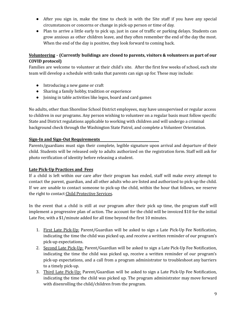- After you sign in, make the time to check in with the Site staff if you have any special circumstances or concerns or change in pick-up person or time of day.
- Plan to arrive a little early to pick up, just in case of traffic or parking delays. Students can grow anxious as other children leave, and they often remember the end of the day the most. When the end of the day is positive, they look forward to coming back.

## <span id="page-8-0"></span>**Volunteering - (Currently buildings are closed to parents, visitors & volunteers as part of our COVID protocol)**

Families are welcome to volunteer at their child's site. After the first few weeks of school, each site team will develop a schedule with tasks that parents can sign up for. These may include:

- Introducing a new game or craft
- Sharing a family hobby, tradition or experience
- Joining in table activities like legos, board and card games

No adults, other than Shoreline School District employees, may have unsupervised or regular access to children in our programs. Any person wishing to volunteer on a regular basis must follow specific State and District regulations applicable to working with children and will undergo a criminal background check through the Washington State Patrol, and complete a Volunteer Orientation.

#### <span id="page-8-1"></span>**Sign-In and Sign-Out Requirements**

Parents/guardians must sign their complete, legible signature upon arrival and departure of their child. Students will be released only to adults authorized on the registration form. Staff will ask for photo verification of identity before releasing a student.

#### <span id="page-8-2"></span>**Late Pick-Up Practices and Fees**

If a child is left within our care after their program has ended, staff will make every attempt to contact the parent, guardian, and all other adults who are listed and authorized to pick-up the child. If we are unable to contact someone to pick-up the child, within the hour that follows, we reserve the right to contact Child Protective Services.

In the event that a child is still at our program after their pick up time, the program staff will implement a progressive plan of action. The account for the child will be invoiced \$10 for the initial Late Fee, with a \$1/minute added for all time beyond the first 10 minutes.

- 1. First Late Pick-Up: Parent/Guardian will be asked to sign a Late Pick-Up Fee Notification, indicating the time the child was picked up, and receive a written reminder of our program's pick-up expectations.
- 2. Second Late Pick-Up: Parent/Guardian will be asked to sign a Late Pick-Up Fee Notification, indicating the time the child was picked up, receive a written reminder of our program's pick-up expectations, and a call from a program administrator to troubleshoot any barriers to a timely pick-up.
- 3. Third Late Pick-Up: Parent/Guardian will be asked to sign a Late Pick-Up Fee Notification, indicating the time the child was picked up. The program administrator may move forward with disenrolling the child/children from the program.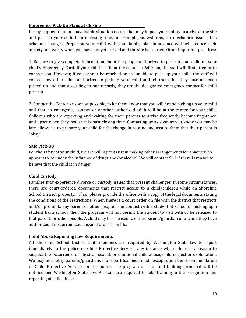#### <span id="page-9-0"></span>**Emergency Pick-Up Plans at Closing**

It may happen that an unavoidable situation occurs that may impact your ability to arrive at the site and pick-up your child before closing time, for example, snowstorms, car mechanical issues, bus schedule changes. Preparing your child with your family plan in advance will help reduce their anxiety and worry when you have not yet arrived and the site has closed. Other important practices:

1. Be sure to give complete information about the people authorized to pick up your child on your child's Emergency Card. If your child is still at the center at 6:00 pm, the staff will first attempt to contact you. However, if you cannot be reached or are unable to pick- up your child, the staff will contact any other adult authorized to pick-up your child and tell them that they have not been picked up and that according to our records, they are the designated emergency contact for child pick-up.

2. Contact the Center, as soon as possible, to let them know that you will not be picking up your child and that an emergency contact or another authorized adult will be at the center for your child. Children who are expecting and waiting for their parents to arrive frequently become frightened and upset when they realize it is past closing time. Contacting us as soon as you know you may be late allows us to prepare your child for the change in routine and assure them that their parent is "okay".

#### <span id="page-9-1"></span>**Safe Pick-Up**

For the safety of your child, we are willing to assist in making other arrangements for anyone who appears to be under the influence of drugs and/or alcohol. We will contact 911 if there is reason to believe that the child is in danger.

#### <span id="page-9-2"></span>**Child Custody**

Families may experience divorce or custody issues that present challenges. In some circumstances, there are court-ordered documents that restrict access to a child/children while on Shoreline School District property. If so, please provide the office with a copy of the legal documents stating the conditions of the restrictions. When there is a court order on file with the district that restricts and/or prohibits any parent or other people from contact with a student at school or picking up a student from school, then the program will not permit the student to visit with or be released to that parent, or other people. A child may be released to either parent/guardian or anyone they have authorized if no current court issued order is on file.

#### <span id="page-9-3"></span>**Child Abuse Reporting Law Requirements**

All Shoreline School District staff members are required by Washington State law to report immediately to the police or Child Protective Services any instance where there is a reason to suspect the occurrence of physical, sexual, or emotional child abuse, child neglect or exploitation. We may not notify parents/guardians if a report has been made except upon the recommendation of Child Protective Services or the police. The program director and building principal will be notified per Washington State law. All staff are required to take training in the recognition and reporting of child abuse.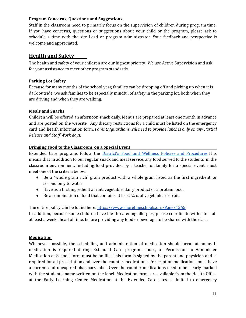#### <span id="page-10-0"></span>**Program Concerns, Questions and Suggestions**

Staff in the classroom need to primarily focus on the supervision of children during program time. If you have concerns, questions or suggestions about your child or the program, please ask to schedule a time with the site Lead or program administrator. Your feedback and perspective is welcome and appreciated.

## <span id="page-10-1"></span>**Health and Safety**

The health and safety of your children are our highest priority. We use Active Supervision and ask for your assistance to meet other program standards.

#### <span id="page-10-2"></span>**Parking Lot Safety**

Because for many months of the school year, families can be dropping off and picking up when it is dark outside, we ask families to be especially mindful of safety in the parking lot, both when they are driving and when they are walking.

#### <span id="page-10-3"></span>**Meals and Snacks**

Children will be offered an afternoon snack daily. Menus are prepared at least one month in advance and are posted on the website. Any dietary restrictions for a child must be listed on the emergency card and health information form. *Parents/guardians will need to provide lunches only on any Partial Release and Staf Work days.*

#### <span id="page-10-4"></span>**Bringing Food to the Classroom on a Special Event**

Extended Care programs follow the District's Food and Wellness Policies and [Procedures](https://www.shorelineschools.org/Page/1265).This means that in addition to our regular snack and meal service, any food served to the students in the classroom environment, including food provided by a teacher or family for a special event, must meet one of the criteria below:

- Be a "whole grain rich" grain product with a whole grain listed as the first ingredient, or second only to water
- Have as a first ingredient a fruit, vegetable, dairy product or a protein food,
- $\bullet$  Be a combination of food that contains at least  $\frac{1}{4}$  c. of vegetables or fruit.

The entire policy can be found here: <https://www.shorelineschools.org/Page/1265>

In addition, because some children have life-threatening allergies, please coordinate with site staff at least a week ahead of time, before providing any food or beverage to be shared with the class**.**

#### <span id="page-10-5"></span>**Medication**

Whenever possible, the scheduling and administration of medication should occur at home. If medication is required during Extended Care program hours, a "Permission to Administer Medication at School" form must be on file. This form is signed by the parent and physician and is required for all prescription and over-the-counter medications. Prescription medications must have a current and unexpired pharmacy label. Over-the-counter medications need to be clearly marked with the student's name written on the label. Medication forms are available from the Health Office at the Early Learning Center. Medication at the Extended Care sites is limited to emergency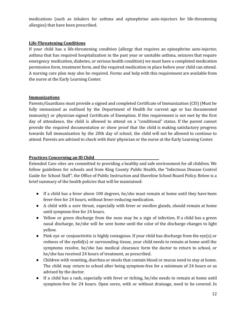medications (such as inhalers for asthma and epinephrine auto-injectors for life-threatening allergies) that have been prescribed.

#### <span id="page-11-0"></span>**Life-Threatening Conditions**

If your child has a life-threatening condition (allergy that requires an epinephrine auto-injector, asthma that has required hospitalization in the past year or unstable asthma, seizures that require emergency medication, diabetes, or serious health condition) we must have a completed medication permission form, treatment form, and the required medication in place before your child can attend. A nursing care plan may also be required. Forms and help with this requirement are available from the nurse at the Early Learning Center.

#### <span id="page-11-1"></span>**Immunizations**

Parents/Guardians must provide a signed and completed Certificate of Immunization (CIS) (Must be fully immunized as outlined by the Department of Health for current age or has documented immunity) or physician-signed Certificate of Exemption. If this requirement is not met by the first day of attendance, the child is allowed to attend on a "conditional" status. If the parent cannot provide the required documentation or show proof that the child is making satisfactory progress towards full immunization by the 20th day of school, the child will not be allowed to continue to attend. Parents are advised to check with their physician or the nurse at the Early Learning Center.

#### <span id="page-11-2"></span>**Practices Concerning an Ill Child**

Extended Care sites are committed to providing a healthy and safe environment for all children. We follow guidelines for schools and from King County Public Health, the "Infectious Disease Control Guide for School Staff", the Office of Public Instruction and Shoreline School Board Policy. Below is a brief summary of the health policies that will be maintained:

- If a child has a fever above 100 degrees, he/she must remain at home until they have been fever-free for 24 hours, without fever-reducing medication.
- A child with a sore throat, especially with fever or swollen glands, should remain at home until symptom-free for 24 hours.
- Yellow or green discharge from the nose may be a sign of infection. If a child has a green nasal discharge, he/she will be sent home until the color of the discharge changes to light yellow.
- Pink eye or conjunctivitis is highly contagious. If your child has discharge from the eye(s) or redness of the eyelid(s) or surrounding tissue, your child needs to remain at home until the symptoms resolve, he/she has medical clearance form the doctor to return to school, or he/she has received 24 hours of treatment, as prescribed.
- Children with vomiting, diarrhea or stools that contain blood or mucus need to stay at home. The child may return to school after being symptom-free for a minimum of 24 hours or as advised by the doctor.
- If a child has a rash, especially with fever or itching, he/she needs to remain at home until symptom-free for 24 hours. Open sores, with or without drainage, need to be covered. In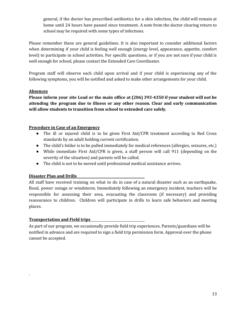general, if the doctor has prescribed antibiotics for a skin infection, the child will remain at home until 24 hours have passed since treatment. A note from the doctor clearing return to school may be required with some types of infections.

Please remember these are general guidelines. It is also important to consider additional factors when determining if your child is feeling well enough (energy level, appearance, appetite, comfort level) to participate in school activities. For specific questions, or if you are not sure if your child is well enough for school, please contact the Extended Care Coordinator.

Program staff will observe each child upon arrival and if your child is experiencing any of the following symptoms, you will be notified and asked to make other arrangements for your child.

#### <span id="page-12-0"></span>**Absences**

**Please inform your site Lead or the main office at (206) 393-4350 if your student will not be attending the program due to illness or any other reason. Clear and early communication will allow students to transition from school to extended care safely.**

#### <span id="page-12-1"></span>**Procedure in Case of an Emergency**

- The ill or injured child is to be given First Aid/CPR treatment according to Red Cross standards by an adult holding current certification.
- The child's folder is to be pulled immediately for medical references (allergies, seizures, etc.)
- While immediate First Aid/CPR is given, a staff person will call 911 (depending on the severity of the situation) and parents will be called.
- The child is not to be moved until professional medical assistance arrives.

#### <span id="page-12-2"></span>**Disaster Plan and Drills**

All staff have received training on what to do in case of a natural disaster such as an earthquake, flood, power outage or windstorm. Immediately following an emergency incident, teachers will be responsible for assessing their area, evacuating the classroom (if necessary) and providing reassurance to children. Children will participate in drills to learn safe behaviors and meeting places.

### <span id="page-12-3"></span>**Transportation and Field trips**

.

<span id="page-12-4"></span>As part of our program, we occasionally provide field trip experiences. Parents/guardians will be notified in advance and are required to sign a field trip permission form. Approval over the phone cannot be accepted.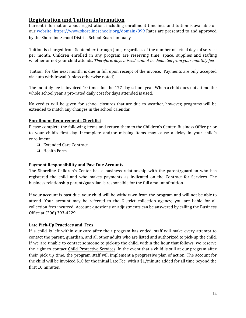## **Registration and Tuition Information**

Current information about registration, including enrollment timelines and tuition is available on our [website](https://www.shorelineschools.org/domain/899): <https://www.shorelineschools.org/domain/899> Rates are presented to and approved by the Shoreline School District School Board annually

Tuition is charged from September through June, regardless of the number of actual days of service per month. Children enrolled in any program are reserving time, space, supplies and staffing whether or not your child attends. *Therefore, days missed cannot be deducted from your monthly fee.*

Tuition, for the next month, is due in full upon receipt of the invoice. Payments are only accepted via auto withdrawal (unless otherwise noted).

The monthly fee is invoiced 10 times for the 177 day school year. When a child does not attend the whole school year, a pro-rated daily cost for days attended is used.

No credits will be given for school closures that are due to weather, however, programs will be extended to match any changes in the school calendar.

#### <span id="page-13-0"></span>**Enrollment Requirements Checklist**

Please complete the following items and return them to the Children's Center Business Office prior to your child's first day. Incomplete and/or missing items may cause a delay in your child's enrollment.

- ❏ Extended Care Contract
- ❏ Health Form

#### <span id="page-13-1"></span>**Payment Responsibility and Past Due Accounts**

The Shoreline Children's Center has a business relationship with the parent/guardian who has registered the child and who makes payments as indicated on the Contract for Services. The business relationship parent/guardian is responsible for the full amount of tuition.

If your account is past due, your child will be withdrawn from the program and will not be able to attend. Your account may be referred to the District collection agency; you are liable for all collection fees incurred. Account questions or adjustments can be answered by calling the Business Office at (206) 393-4229.

#### <span id="page-13-2"></span>**Late Pick-Up Practices and Fees**

If a child is left within our care after their program has ended, staff will make every attempt to contact the parent, guardian, and all other adults who are listed and authorized to pick-up the child. If we are unable to contact someone to pick-up the child, within the hour that follows, we reserve the right to contact Child Protective Services. In the event that a child is still at our program after their pick up time, the program staff will implement a progressive plan of action. The account for the child will be invoiced \$10 for the initial Late Fee, with a \$1/minute added for all time beyond the first 10 minutes.